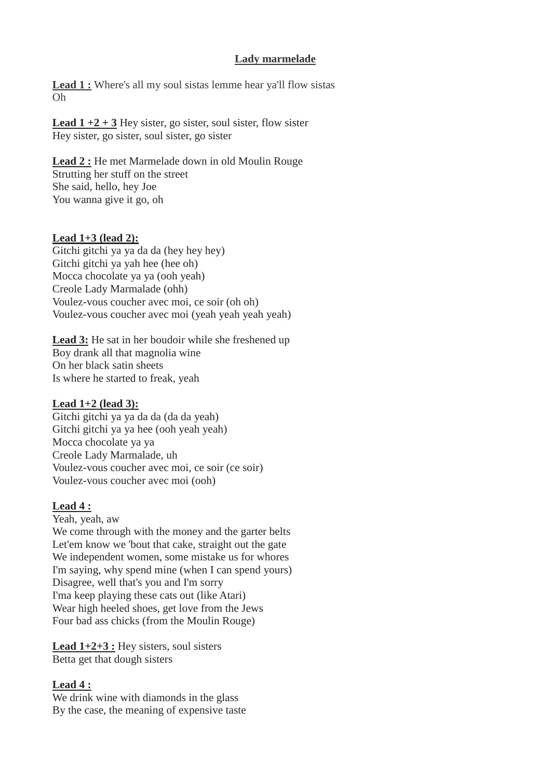# **Lady marmelade**

**Lead 1 :** Where's all my soul sistas lemme hear ya'll flow sistas Oh

**Lead 1 +2 + 3** Hey sister, go sister, soul sister, flow sister Hey sister, go sister, soul sister, go sister

**Lead 2 :** He met Marmelade down in old Moulin Rouge Strutting her stuff on the street She said, hello, hey Joe You wanna give it go, oh

# **Lead 1+3 (lead 2):**

Gitchi gitchi ya ya da da (hey hey hey) Gitchi gitchi ya yah hee (hee oh) Mocca chocolate ya ya (ooh yeah) Creole Lady Marmalade (ohh) Voulez-vous coucher avec moi, ce soir (oh oh) Voulez-vous coucher avec moi (yeah yeah yeah yeah)

**Lead 3:** He sat in her boudoir while she freshened up Boy drank all that magnolia wine On her black satin sheets Is where he started to freak, yeah

# **Lead 1+2 (lead 3):**

Gitchi gitchi ya ya da da (da da yeah) Gitchi gitchi ya ya hee (ooh yeah yeah) Mocca chocolate ya ya Creole Lady Marmalade, uh Voulez-vous coucher avec moi, ce soir (ce soir) Voulez-vous coucher avec moi (ooh)

# **Lead 4 :**

Yeah, yeah, aw We come through with the money and the garter belts Let'em know we 'bout that cake, straight out the gate We independent women, some mistake us for whores I'm saying, why spend mine (when I can spend yours) Disagree, well that's you and I'm sorry I'ma keep playing these cats out (like Atari) Wear high heeled shoes, get love from the Jews Four bad ass chicks (from the Moulin Rouge)

**Lead 1+2+3 :** Hey sisters, soul sisters Betta get that dough sisters

# **Lead 4 :**

We drink wine with diamonds in the glass By the case, the meaning of expensive taste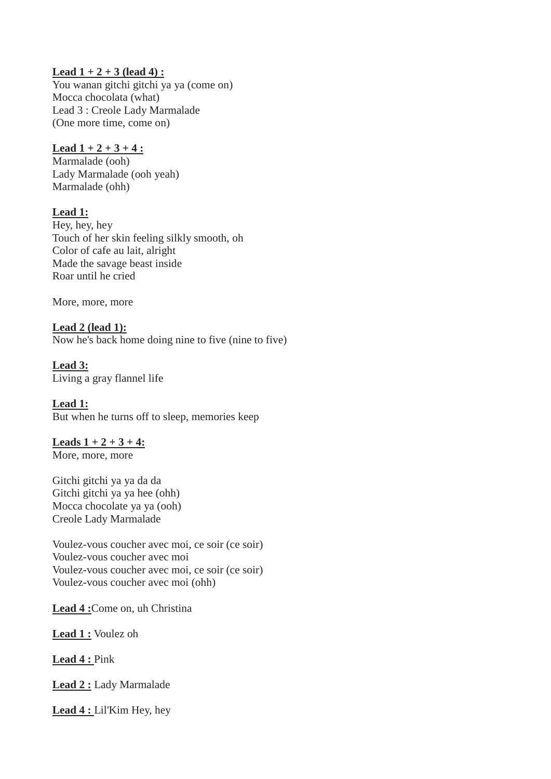# **Lead**  $1 + 2 + 3$  **(lead 4):**

You wanan gitchi gitchi ya ya (come on) Mocca chocolata (what) Lead 3 : Creole Lady Marmalade (One more time, come on)

# **Lead 1 + 2 + 3 + 4 :**

Marmalade (ooh) Lady Marmalade (ooh yeah) Marmalade (ohh)

## **Lead 1:**

Hey, hey, hey Touch of her skin feeling silkly smooth, oh Color of cafe au lait, alright Made the savage beast inside Roar until he cried

More, more, more

**Lead 2 (lead 1):** Now he's back home doing nine to five (nine to five)

## **Lead 3:** Living a gray flannel life

**Lead 1:** But when he turns off to sleep, memories keep

#### **Leads 1 + 2 + 3 + 4:** More, more, more

Gitchi gitchi ya ya da da Gitchi gitchi ya ya hee (ohh) Mocca chocolate ya ya (ooh) Creole Lady Marmalade

Voulez-vous coucher avec moi, ce soir (ce soir) Voulez-vous coucher avec moi Voulez-vous coucher avec moi, ce soir (ce soir) Voulez-vous coucher avec moi (ohh)

**Lead 4 :**Come on, uh Christina

**Lead 1 :** Voulez oh

**Lead 4 :** Pink

**Lead 2 :** Lady Marmalade

**Lead 4 :** Lil'Kim Hey, hey